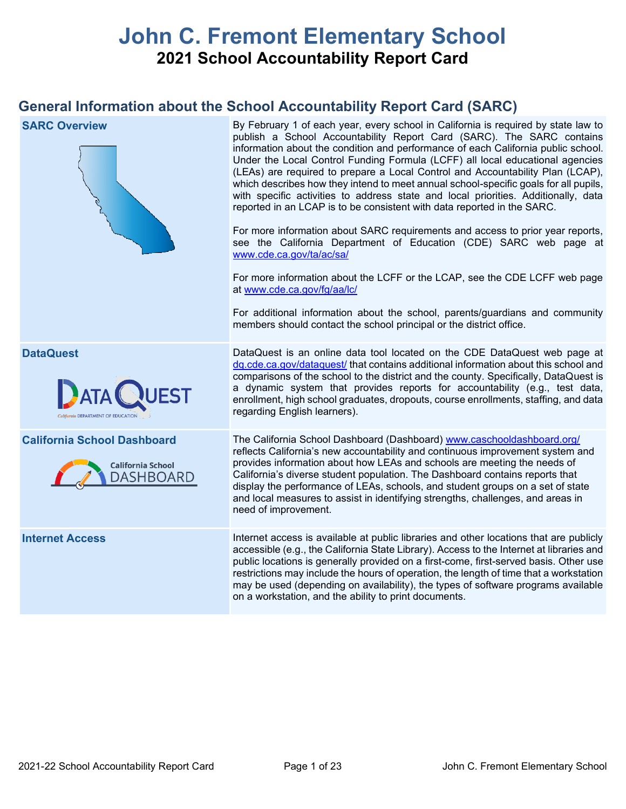# **John C. Fremont Elementary School 2021 School Accountability Report Card**

## **General Information about the School Accountability Report Card (SARC)**

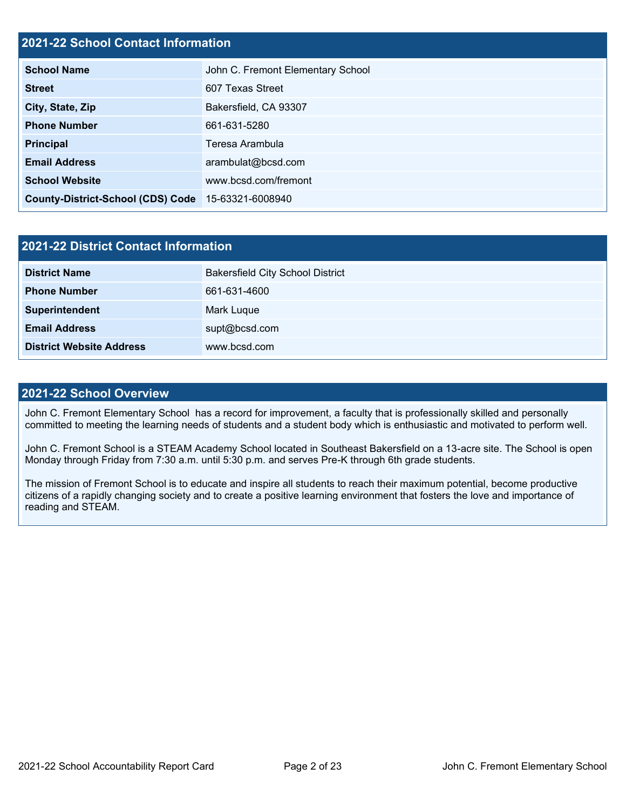## **2021-22 School Contact Information**

| <b>School Name</b>                       | John C. Fremont Elementary School |  |  |  |  |
|------------------------------------------|-----------------------------------|--|--|--|--|
| <b>Street</b>                            | 607 Texas Street                  |  |  |  |  |
| City, State, Zip                         | Bakersfield, CA 93307             |  |  |  |  |
| <b>Phone Number</b>                      | 661-631-5280                      |  |  |  |  |
| <b>Principal</b>                         | Teresa Arambula                   |  |  |  |  |
| <b>Email Address</b>                     | arambulat@bcsd.com                |  |  |  |  |
| <b>School Website</b>                    | www.bcsd.com/fremont              |  |  |  |  |
| <b>County-District-School (CDS) Code</b> | 15-63321-6008940                  |  |  |  |  |

| 2021-22 District Contact Information |                                         |  |  |  |
|--------------------------------------|-----------------------------------------|--|--|--|
| <b>District Name</b>                 | <b>Bakersfield City School District</b> |  |  |  |
| <b>Phone Number</b>                  | 661-631-4600                            |  |  |  |
| Superintendent                       | Mark Luque                              |  |  |  |
| <b>Email Address</b>                 | supt@bcsd.com                           |  |  |  |
| <b>District Website Address</b>      | www.bcsd.com                            |  |  |  |

## **2021-22 School Overview**

John C. Fremont Elementary School has a record for improvement, a faculty that is professionally skilled and personally committed to meeting the learning needs of students and a student body which is enthusiastic and motivated to perform well.

John C. Fremont School is a STEAM Academy School located in Southeast Bakersfield on a 13-acre site. The School is open Monday through Friday from 7:30 a.m. until 5:30 p.m. and serves Pre-K through 6th grade students.

The mission of Fremont School is to educate and inspire all students to reach their maximum potential, become productive citizens of a rapidly changing society and to create a positive learning environment that fosters the love and importance of reading and STEAM.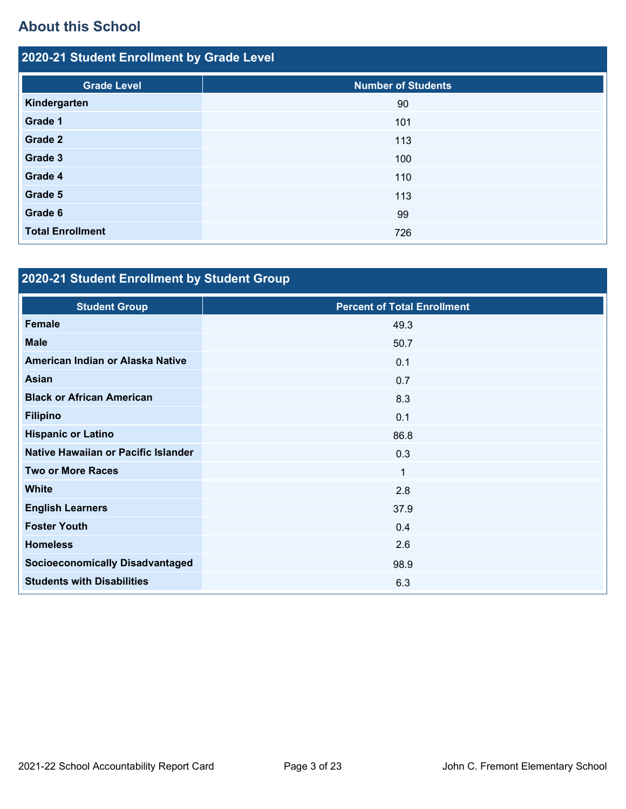# **About this School**

| 2020-21 Student Enrollment by Grade Level |                           |  |  |  |  |
|-------------------------------------------|---------------------------|--|--|--|--|
| <b>Grade Level</b>                        | <b>Number of Students</b> |  |  |  |  |
| Kindergarten                              | 90                        |  |  |  |  |
| Grade 1                                   | 101                       |  |  |  |  |
| Grade 2                                   | 113                       |  |  |  |  |
| Grade 3                                   | 100                       |  |  |  |  |
| Grade 4                                   | 110                       |  |  |  |  |
| Grade 5                                   | 113                       |  |  |  |  |
| Grade 6                                   | 99                        |  |  |  |  |
| <b>Total Enrollment</b>                   | 726                       |  |  |  |  |

# **2020-21 Student Enrollment by Student Group**

| <b>Student Group</b>                   | <b>Percent of Total Enrollment</b> |
|----------------------------------------|------------------------------------|
| Female                                 | 49.3                               |
| <b>Male</b>                            | 50.7                               |
| American Indian or Alaska Native       | 0.1                                |
| <b>Asian</b>                           | 0.7                                |
| <b>Black or African American</b>       | 8.3                                |
| <b>Filipino</b>                        | 0.1                                |
| <b>Hispanic or Latino</b>              | 86.8                               |
| Native Hawaiian or Pacific Islander    | 0.3                                |
| <b>Two or More Races</b>               | $\mathbf 1$                        |
| <b>White</b>                           | 2.8                                |
| <b>English Learners</b>                | 37.9                               |
| <b>Foster Youth</b>                    | 0.4                                |
| <b>Homeless</b>                        | 2.6                                |
| <b>Socioeconomically Disadvantaged</b> | 98.9                               |
| <b>Students with Disabilities</b>      | 6.3                                |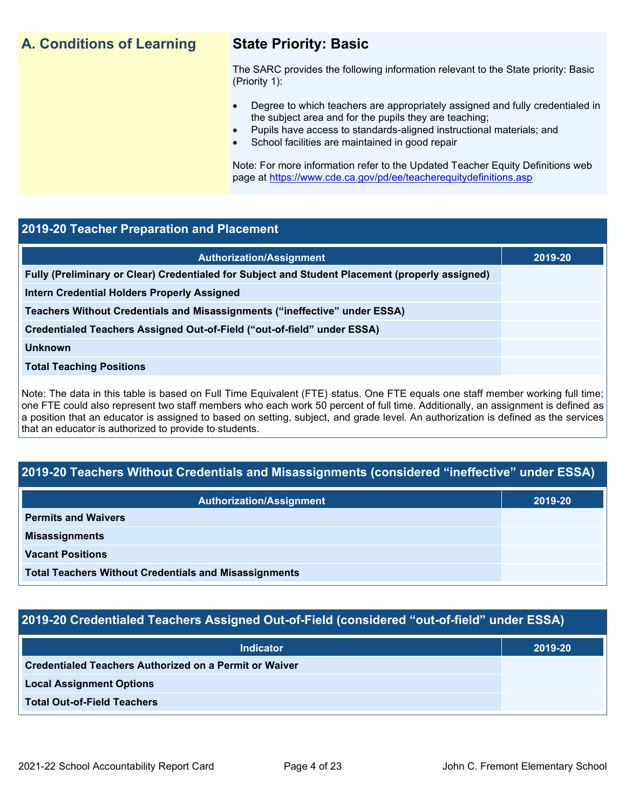## **A. Conditions of Learning State Priority: Basic**

The SARC provides the following information relevant to the State priority: Basic (Priority 1):

- Degree to which teachers are appropriately assigned and fully credentialed in the subject area and for the pupils they are teaching;
	- Pupils have access to standards-aligned instructional materials; and
- School facilities are maintained in good repair

Note: For more information refer to the Updated Teacher Equity Definitions web page at<https://www.cde.ca.gov/pd/ee/teacherequitydefinitions.asp>

## **2019-20 Teacher Preparation and Placement**

| <b>Authorization/Assignment</b>                                                                 | 2019-20 |
|-------------------------------------------------------------------------------------------------|---------|
| Fully (Preliminary or Clear) Credentialed for Subject and Student Placement (properly assigned) |         |
| Intern Credential Holders Properly Assigned                                                     |         |
| Teachers Without Credentials and Misassignments ("ineffective" under ESSA)                      |         |
| Credentialed Teachers Assigned Out-of-Field ("out-of-field" under ESSA)                         |         |
| <b>Unknown</b>                                                                                  |         |
| <b>Total Teaching Positions</b>                                                                 |         |
|                                                                                                 |         |

Note: The data in this table is based on Full Time Equivalent (FTE) status. One FTE equals one staff member working full time; one FTE could also represent two staff members who each work 50 percent of full time. Additionally, an assignment is defined as a position that an educator is assigned to based on setting, subject, and grade level. An authorization is defined as the services that an educator is authorized to provide to students.

## **2019-20 Teachers Without Credentials and Misassignments (considered "ineffective" under ESSA)**

| <b>Authorization/Assignment</b>                              | 2019-20 |
|--------------------------------------------------------------|---------|
| <b>Permits and Waivers</b>                                   |         |
| <b>Misassignments</b>                                        |         |
| <b>Vacant Positions</b>                                      |         |
| <b>Total Teachers Without Credentials and Misassignments</b> |         |

## **2019-20 Credentialed Teachers Assigned Out-of-Field (considered "out-of-field" under ESSA)**

| <b>Indicator</b>                                              | 2019-20 |
|---------------------------------------------------------------|---------|
| <b>Credentialed Teachers Authorized on a Permit or Waiver</b> |         |
| <b>Local Assignment Options</b>                               |         |
| <b>Total Out-of-Field Teachers</b>                            |         |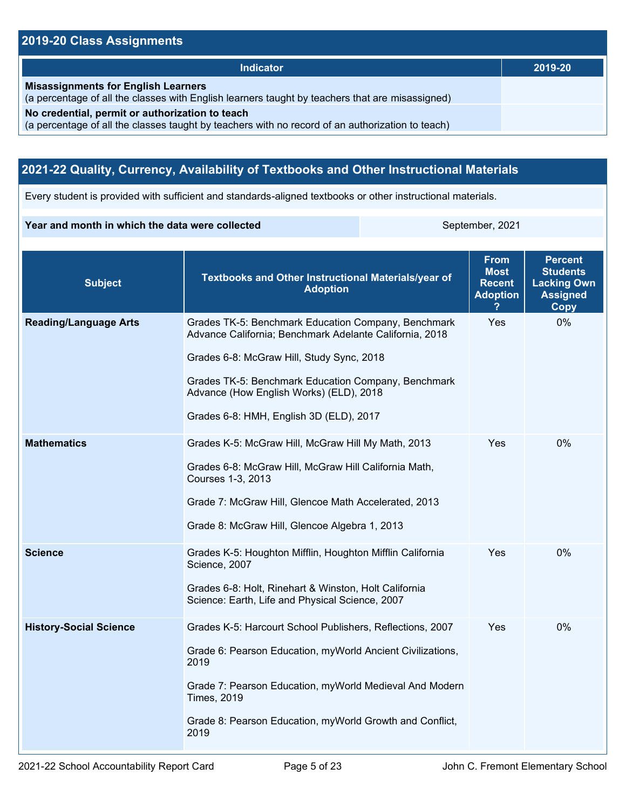## **2019-20 Class Assignments**

| <b>Indicator</b>                                                                                                                                    | 2019-20 |
|-----------------------------------------------------------------------------------------------------------------------------------------------------|---------|
| <b>Misassignments for English Learners</b><br>(a percentage of all the classes with English learners taught by teachers that are misassigned)       |         |
| No credential, permit or authorization to teach<br>(a percentage of all the classes taught by teachers with no record of an authorization to teach) |         |

## **2021-22 Quality, Currency, Availability of Textbooks and Other Instructional Materials**

Every student is provided with sufficient and standards-aligned textbooks or other instructional materials.

#### **Year and month in which the data were collected** September, 2021

| <b>Subject</b>                | Textbooks and Other Instructional Materials/year of<br><b>Adoption</b>                                                                                                                                                                                                                                   | <b>From</b><br><b>Most</b><br><b>Recent</b><br><b>Adoption</b> | <b>Percent</b><br><b>Students</b><br><b>Lacking Own</b><br><b>Assigned</b><br>Copy |
|-------------------------------|----------------------------------------------------------------------------------------------------------------------------------------------------------------------------------------------------------------------------------------------------------------------------------------------------------|----------------------------------------------------------------|------------------------------------------------------------------------------------|
| <b>Reading/Language Arts</b>  | Grades TK-5: Benchmark Education Company, Benchmark<br>Advance California; Benchmark Adelante California, 2018<br>Grades 6-8: McGraw Hill, Study Sync, 2018<br>Grades TK-5: Benchmark Education Company, Benchmark<br>Advance (How English Works) (ELD), 2018<br>Grades 6-8: HMH, English 3D (ELD), 2017 | Yes                                                            | 0%                                                                                 |
| <b>Mathematics</b>            | Grades K-5: McGraw Hill, McGraw Hill My Math, 2013<br>Grades 6-8: McGraw Hill, McGraw Hill California Math,<br>Courses 1-3, 2013<br>Grade 7: McGraw Hill, Glencoe Math Accelerated, 2013<br>Grade 8: McGraw Hill, Glencoe Algebra 1, 2013                                                                | Yes                                                            | 0%                                                                                 |
| <b>Science</b>                | Grades K-5: Houghton Mifflin, Houghton Mifflin California<br>Science, 2007<br>Grades 6-8: Holt, Rinehart & Winston, Holt California<br>Science: Earth, Life and Physical Science, 2007                                                                                                                   | Yes                                                            | $0\%$                                                                              |
| <b>History-Social Science</b> | Grades K-5: Harcourt School Publishers, Reflections, 2007<br>Grade 6: Pearson Education, myWorld Ancient Civilizations,<br>2019<br>Grade 7: Pearson Education, myWorld Medieval And Modern<br><b>Times, 2019</b><br>Grade 8: Pearson Education, myWorld Growth and Conflict,<br>2019                     | Yes                                                            | 0%                                                                                 |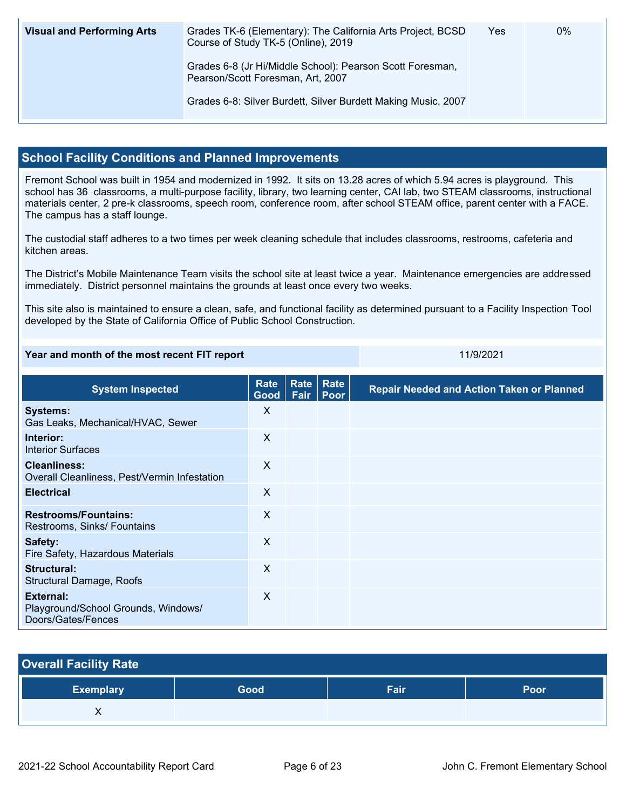| <b>Visual and Performing Arts</b> | Grades TK-6 (Elementary): The California Arts Project, BCSD<br>Course of Study TK-5 (Online), 2019 | Yes | 0% |
|-----------------------------------|----------------------------------------------------------------------------------------------------|-----|----|
|                                   | Grades 6-8 (Jr Hi/Middle School): Pearson Scott Foresman,<br>Pearson/Scott Foresman, Art, 2007     |     |    |
|                                   | Grades 6-8: Silver Burdett, Silver Burdett Making Music, 2007                                      |     |    |

## **School Facility Conditions and Planned Improvements**

Fremont School was built in 1954 and modernized in 1992. It sits on 13.28 acres of which 5.94 acres is playground. This school has 36 classrooms, a multi-purpose facility, library, two learning center, CAI lab, two STEAM classrooms, instructional materials center, 2 pre-k classrooms, speech room, conference room, after school STEAM office, parent center with a FACE. The campus has a staff lounge.

The custodial staff adheres to a two times per week cleaning schedule that includes classrooms, restrooms, cafeteria and kitchen areas.

The District's Mobile Maintenance Team visits the school site at least twice a year. Maintenance emergencies are addressed immediately. District personnel maintains the grounds at least once every two weeks.

This site also is maintained to ensure a clean, safe, and functional facility as determined pursuant to a Facility Inspection Tool developed by the State of California Office of Public School Construction.

#### **Year and month of the most recent FIT report** 11/9/2021 11/9/2021

| <b>System Inspected</b>                                                | <b>Rate</b><br>Good       | <b>Rate</b><br>Fair | Rate<br>Poor | <b>Repair Needed and Action Taken or Planned</b> |
|------------------------------------------------------------------------|---------------------------|---------------------|--------------|--------------------------------------------------|
| <b>Systems:</b><br>Gas Leaks, Mechanical/HVAC, Sewer                   | X                         |                     |              |                                                  |
| Interior:<br><b>Interior Surfaces</b>                                  | X                         |                     |              |                                                  |
| <b>Cleanliness:</b><br>Overall Cleanliness, Pest/Vermin Infestation    | $\boldsymbol{\mathsf{X}}$ |                     |              |                                                  |
| <b>Electrical</b>                                                      | X                         |                     |              |                                                  |
| <b>Restrooms/Fountains:</b><br>Restrooms, Sinks/ Fountains             | $\times$                  |                     |              |                                                  |
| Safety:<br>Fire Safety, Hazardous Materials                            | X                         |                     |              |                                                  |
| Structural:<br>Structural Damage, Roofs                                | X                         |                     |              |                                                  |
| External:<br>Playground/School Grounds, Windows/<br>Doors/Gates/Fences | X                         |                     |              |                                                  |

| <b>Overall Facility Rate</b> |      |      |      |  |  |  |
|------------------------------|------|------|------|--|--|--|
| <b>Exemplary</b>             | Good | Fair | Poor |  |  |  |
|                              |      |      |      |  |  |  |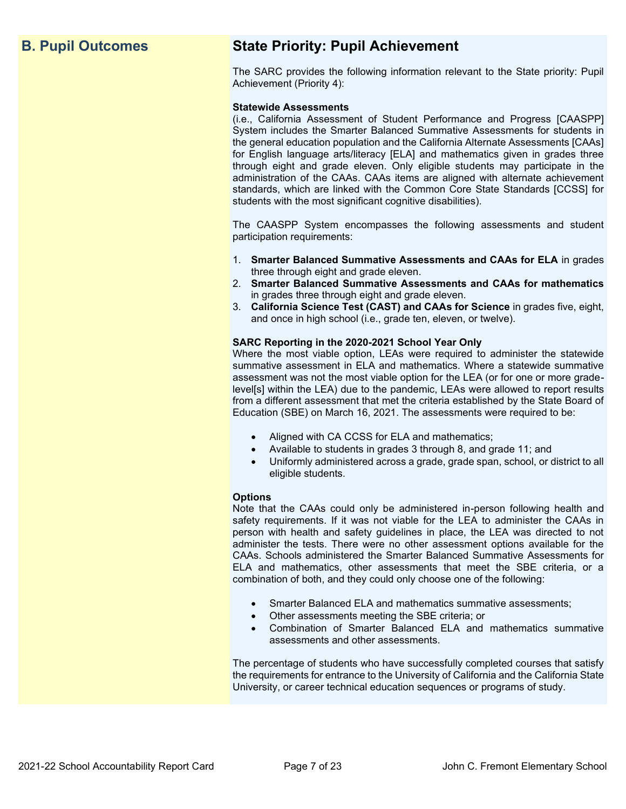## **B. Pupil Outcomes State Priority: Pupil Achievement**

The SARC provides the following information relevant to the State priority: Pupil Achievement (Priority 4):

#### **Statewide Assessments**

(i.e., California Assessment of Student Performance and Progress [CAASPP] System includes the Smarter Balanced Summative Assessments for students in the general education population and the California Alternate Assessments [CAAs] for English language arts/literacy [ELA] and mathematics given in grades three through eight and grade eleven. Only eligible students may participate in the administration of the CAAs. CAAs items are aligned with alternate achievement standards, which are linked with the Common Core State Standards [CCSS] for students with the most significant cognitive disabilities).

The CAASPP System encompasses the following assessments and student participation requirements:

- 1. **Smarter Balanced Summative Assessments and CAAs for ELA** in grades three through eight and grade eleven.
- 2. **Smarter Balanced Summative Assessments and CAAs for mathematics** in grades three through eight and grade eleven.
- 3. **California Science Test (CAST) and CAAs for Science** in grades five, eight, and once in high school (i.e., grade ten, eleven, or twelve).

#### **SARC Reporting in the 2020-2021 School Year Only**

Where the most viable option, LEAs were required to administer the statewide summative assessment in ELA and mathematics. Where a statewide summative assessment was not the most viable option for the LEA (or for one or more gradelevel[s] within the LEA) due to the pandemic, LEAs were allowed to report results from a different assessment that met the criteria established by the State Board of Education (SBE) on March 16, 2021. The assessments were required to be:

- Aligned with CA CCSS for ELA and mathematics;
- Available to students in grades 3 through 8, and grade 11; and
- Uniformly administered across a grade, grade span, school, or district to all eligible students.

#### **Options**

Note that the CAAs could only be administered in-person following health and safety requirements. If it was not viable for the LEA to administer the CAAs in person with health and safety guidelines in place, the LEA was directed to not administer the tests. There were no other assessment options available for the CAAs. Schools administered the Smarter Balanced Summative Assessments for ELA and mathematics, other assessments that meet the SBE criteria, or a combination of both, and they could only choose one of the following:

- Smarter Balanced ELA and mathematics summative assessments;
- Other assessments meeting the SBE criteria; or
- Combination of Smarter Balanced ELA and mathematics summative assessments and other assessments.

The percentage of students who have successfully completed courses that satisfy the requirements for entrance to the University of California and the California State University, or career technical education sequences or programs of study.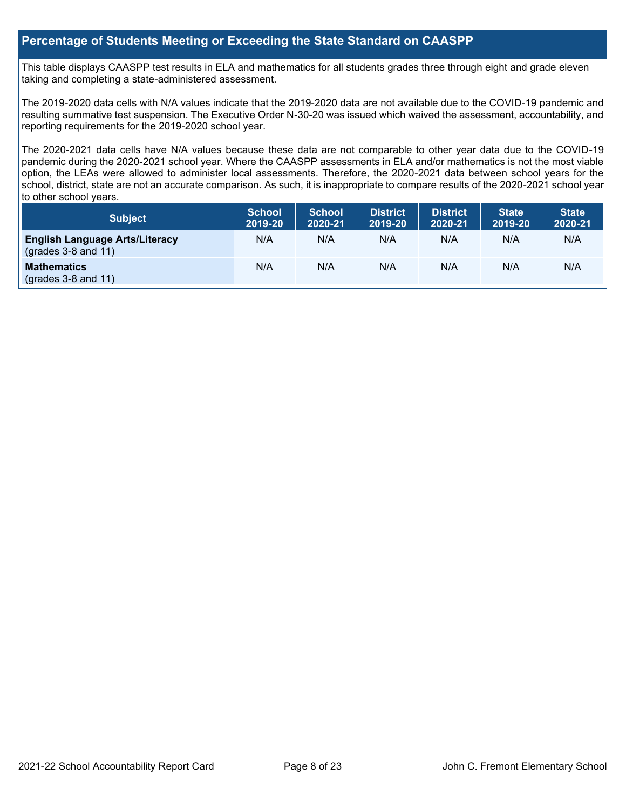## **Percentage of Students Meeting or Exceeding the State Standard on CAASPP**

This table displays CAASPP test results in ELA and mathematics for all students grades three through eight and grade eleven taking and completing a state-administered assessment.

The 2019-2020 data cells with N/A values indicate that the 2019-2020 data are not available due to the COVID-19 pandemic and resulting summative test suspension. The Executive Order N-30-20 was issued which waived the assessment, accountability, and reporting requirements for the 2019-2020 school year.

The 2020-2021 data cells have N/A values because these data are not comparable to other year data due to the COVID-19 pandemic during the 2020-2021 school year. Where the CAASPP assessments in ELA and/or mathematics is not the most viable option, the LEAs were allowed to administer local assessments. Therefore, the 2020-2021 data between school years for the school, district, state are not an accurate comparison. As such, it is inappropriate to compare results of the 2020-2021 school year to other school years.

| Subject                                                              | <b>School</b><br>2019-20 | <b>School</b><br>2020-21 | <b>District</b><br>2019-20 | <b>District</b><br>2020-21 | <b>State</b><br>2019-20 | <b>State</b><br>2020-21 |
|----------------------------------------------------------------------|--------------------------|--------------------------|----------------------------|----------------------------|-------------------------|-------------------------|
| <b>English Language Arts/Literacy</b><br>$\left($ grades 3-8 and 11) | N/A                      | N/A                      | N/A                        | N/A                        | N/A                     | N/A                     |
| <b>Mathematics</b><br>$(grades 3-8 and 11)$                          | N/A                      | N/A                      | N/A                        | N/A                        | N/A                     | N/A                     |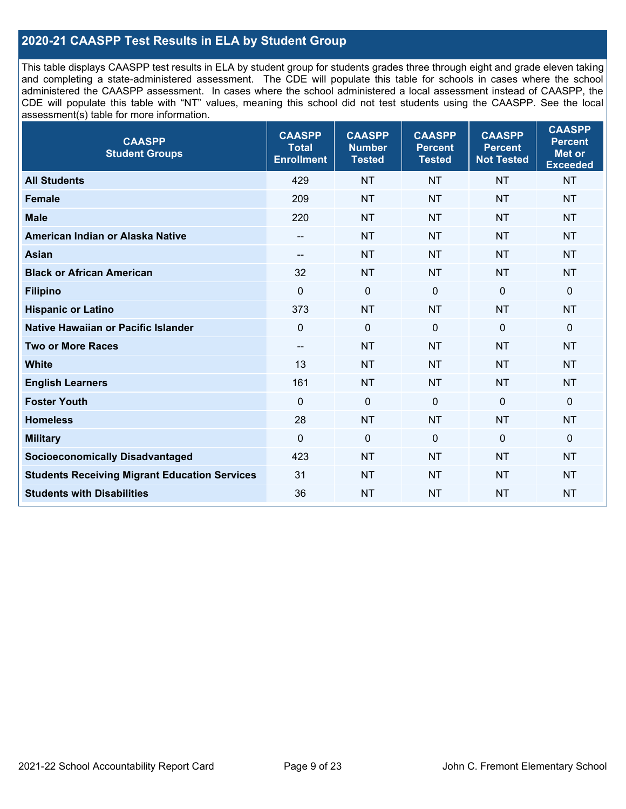## **2020-21 CAASPP Test Results in ELA by Student Group**

This table displays CAASPP test results in ELA by student group for students grades three through eight and grade eleven taking and completing a state-administered assessment. The CDE will populate this table for schools in cases where the school administered the CAASPP assessment. In cases where the school administered a local assessment instead of CAASPP, the CDE will populate this table with "NT" values, meaning this school did not test students using the CAASPP. See the local assessment(s) table for more information.

| <b>CAASPP</b><br><b>Student Groups</b>               | <b>CAASPP</b><br><b>Total</b><br><b>Enrollment</b> | <b>CAASPP</b><br><b>Number</b><br><b>Tested</b> | <b>CAASPP</b><br><b>Percent</b><br><b>Tested</b> | <b>CAASPP</b><br><b>Percent</b><br><b>Not Tested</b> | <b>CAASPP</b><br><b>Percent</b><br><b>Met or</b><br><b>Exceeded</b> |
|------------------------------------------------------|----------------------------------------------------|-------------------------------------------------|--------------------------------------------------|------------------------------------------------------|---------------------------------------------------------------------|
| <b>All Students</b>                                  | 429                                                | <b>NT</b>                                       | <b>NT</b>                                        | <b>NT</b>                                            | <b>NT</b>                                                           |
| <b>Female</b>                                        | 209                                                | <b>NT</b>                                       | <b>NT</b>                                        | <b>NT</b>                                            | <b>NT</b>                                                           |
| <b>Male</b>                                          | 220                                                | <b>NT</b>                                       | <b>NT</b>                                        | <b>NT</b>                                            | <b>NT</b>                                                           |
| American Indian or Alaska Native                     | $- -$                                              | <b>NT</b>                                       | <b>NT</b>                                        | <b>NT</b>                                            | <b>NT</b>                                                           |
| <b>Asian</b>                                         | --                                                 | <b>NT</b>                                       | <b>NT</b>                                        | <b>NT</b>                                            | <b>NT</b>                                                           |
| <b>Black or African American</b>                     | 32                                                 | <b>NT</b>                                       | <b>NT</b>                                        | <b>NT</b>                                            | <b>NT</b>                                                           |
| <b>Filipino</b>                                      | $\mathbf 0$                                        | $\mathbf 0$                                     | $\mathbf 0$                                      | $\mathbf 0$                                          | $\mathbf 0$                                                         |
| <b>Hispanic or Latino</b>                            | 373                                                | <b>NT</b>                                       | <b>NT</b>                                        | <b>NT</b>                                            | <b>NT</b>                                                           |
| Native Hawaiian or Pacific Islander                  | $\mathbf 0$                                        | $\mathbf 0$                                     | $\mathbf 0$                                      | $\mathbf 0$                                          | 0                                                                   |
| <b>Two or More Races</b>                             | --                                                 | <b>NT</b>                                       | <b>NT</b>                                        | <b>NT</b>                                            | <b>NT</b>                                                           |
| <b>White</b>                                         | 13                                                 | <b>NT</b>                                       | <b>NT</b>                                        | <b>NT</b>                                            | <b>NT</b>                                                           |
| <b>English Learners</b>                              | 161                                                | <b>NT</b>                                       | <b>NT</b>                                        | <b>NT</b>                                            | <b>NT</b>                                                           |
| <b>Foster Youth</b>                                  | $\Omega$                                           | $\mathbf 0$                                     | $\mathbf 0$                                      | $\mathbf 0$                                          | $\mathbf 0$                                                         |
| <b>Homeless</b>                                      | 28                                                 | <b>NT</b>                                       | <b>NT</b>                                        | <b>NT</b>                                            | <b>NT</b>                                                           |
| <b>Military</b>                                      | $\mathbf 0$                                        | $\pmb{0}$                                       | 0                                                | $\mathbf 0$                                          | 0                                                                   |
| <b>Socioeconomically Disadvantaged</b>               | 423                                                | <b>NT</b>                                       | <b>NT</b>                                        | <b>NT</b>                                            | <b>NT</b>                                                           |
| <b>Students Receiving Migrant Education Services</b> | 31                                                 | <b>NT</b>                                       | <b>NT</b>                                        | <b>NT</b>                                            | NT                                                                  |
| <b>Students with Disabilities</b>                    | 36                                                 | <b>NT</b>                                       | <b>NT</b>                                        | <b>NT</b>                                            | <b>NT</b>                                                           |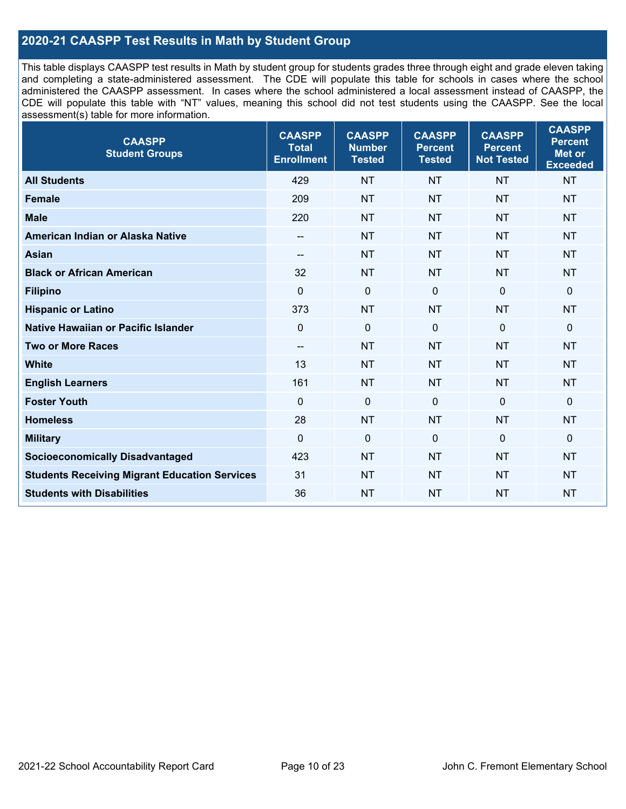## **2020-21 CAASPP Test Results in Math by Student Group**

This table displays CAASPP test results in Math by student group for students grades three through eight and grade eleven taking and completing a state-administered assessment. The CDE will populate this table for schools in cases where the school administered the CAASPP assessment. In cases where the school administered a local assessment instead of CAASPP, the CDE will populate this table with "NT" values, meaning this school did not test students using the CAASPP. See the local assessment(s) table for more information.

| <b>CAASPP</b><br><b>Student Groups</b>               | <b>CAASPP</b><br><b>Total</b><br><b>Enrollment</b> | <b>CAASPP</b><br><b>Number</b><br><b>Tested</b> | <b>CAASPP</b><br><b>Percent</b><br><b>Tested</b> | <b>CAASPP</b><br><b>Percent</b><br><b>Not Tested</b> | <b>CAASPP</b><br><b>Percent</b><br>Met or<br><b>Exceeded</b> |
|------------------------------------------------------|----------------------------------------------------|-------------------------------------------------|--------------------------------------------------|------------------------------------------------------|--------------------------------------------------------------|
| <b>All Students</b>                                  | 429                                                | <b>NT</b>                                       | <b>NT</b>                                        | <b>NT</b>                                            | <b>NT</b>                                                    |
| <b>Female</b>                                        | 209                                                | <b>NT</b>                                       | <b>NT</b>                                        | <b>NT</b>                                            | <b>NT</b>                                                    |
| <b>Male</b>                                          | 220                                                | <b>NT</b>                                       | <b>NT</b>                                        | <b>NT</b>                                            | <b>NT</b>                                                    |
| American Indian or Alaska Native                     | $\overline{\phantom{a}}$                           | <b>NT</b>                                       | <b>NT</b>                                        | <b>NT</b>                                            | <b>NT</b>                                                    |
| <b>Asian</b>                                         | --                                                 | <b>NT</b>                                       | <b>NT</b>                                        | <b>NT</b>                                            | <b>NT</b>                                                    |
| <b>Black or African American</b>                     | 32                                                 | <b>NT</b>                                       | <b>NT</b>                                        | <b>NT</b>                                            | <b>NT</b>                                                    |
| <b>Filipino</b>                                      | $\mathbf 0$                                        | $\mathbf 0$                                     | $\mathbf{0}$                                     | $\mathbf 0$                                          | 0                                                            |
| <b>Hispanic or Latino</b>                            | 373                                                | <b>NT</b>                                       | <b>NT</b>                                        | <b>NT</b>                                            | <b>NT</b>                                                    |
| Native Hawaiian or Pacific Islander                  | $\mathbf 0$                                        | $\mathbf 0$                                     | $\mathbf{0}$                                     | $\overline{0}$                                       | 0                                                            |
| <b>Two or More Races</b>                             | $\overline{\phantom{a}}$                           | <b>NT</b>                                       | <b>NT</b>                                        | <b>NT</b>                                            | <b>NT</b>                                                    |
| <b>White</b>                                         | 13                                                 | <b>NT</b>                                       | <b>NT</b>                                        | <b>NT</b>                                            | <b>NT</b>                                                    |
| <b>English Learners</b>                              | 161                                                | <b>NT</b>                                       | <b>NT</b>                                        | <b>NT</b>                                            | <b>NT</b>                                                    |
| <b>Foster Youth</b>                                  | $\Omega$                                           | $\mathbf 0$                                     | $\mathbf{0}$                                     | $\mathbf 0$                                          | 0                                                            |
| <b>Homeless</b>                                      | 28                                                 | <b>NT</b>                                       | <b>NT</b>                                        | <b>NT</b>                                            | <b>NT</b>                                                    |
| <b>Military</b>                                      | $\mathbf 0$                                        | $\pmb{0}$                                       | $\mathbf 0$                                      | $\mathbf 0$                                          | 0                                                            |
| <b>Socioeconomically Disadvantaged</b>               | 423                                                | <b>NT</b>                                       | <b>NT</b>                                        | <b>NT</b>                                            | <b>NT</b>                                                    |
| <b>Students Receiving Migrant Education Services</b> | 31                                                 | <b>NT</b>                                       | <b>NT</b>                                        | <b>NT</b>                                            | <b>NT</b>                                                    |
| <b>Students with Disabilities</b>                    | 36                                                 | <b>NT</b>                                       | <b>NT</b>                                        | <b>NT</b>                                            | <b>NT</b>                                                    |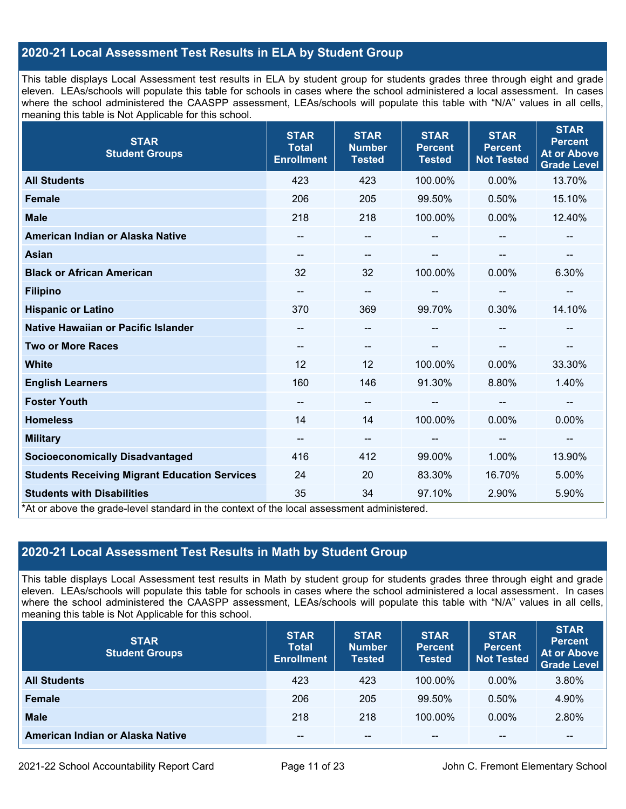## **2020-21 Local Assessment Test Results in ELA by Student Group**

This table displays Local Assessment test results in ELA by student group for students grades three through eight and grade eleven. LEAs/schools will populate this table for schools in cases where the school administered a local assessment. In cases where the school administered the CAASPP assessment, LEAs/schools will populate this table with "N/A" values in all cells, meaning this table is Not Applicable for this school.

| <b>STAR</b><br><b>Student Groups</b>                                                                                            | <b>STAR</b><br><b>Total</b><br><b>Enrollment</b> | <b>STAR</b><br><b>Number</b><br><b>Tested</b> | <b>STAR</b><br><b>Percent</b><br><b>Tested</b> | <b>STAR</b><br><b>Percent</b><br><b>Not Tested</b> | <b>STAR</b><br><b>Percent</b><br><b>At or Above</b><br><b>Grade Level</b> |
|---------------------------------------------------------------------------------------------------------------------------------|--------------------------------------------------|-----------------------------------------------|------------------------------------------------|----------------------------------------------------|---------------------------------------------------------------------------|
| <b>All Students</b>                                                                                                             | 423                                              | 423                                           | 100.00%                                        | $0.00\%$                                           | 13.70%                                                                    |
| <b>Female</b>                                                                                                                   | 206                                              | 205                                           | 99.50%                                         | 0.50%                                              | 15.10%                                                                    |
| <b>Male</b>                                                                                                                     | 218                                              | 218                                           | 100.00%                                        | 0.00%                                              | 12.40%                                                                    |
| American Indian or Alaska Native                                                                                                | --                                               | $\overline{\phantom{m}}$                      | --                                             |                                                    | --                                                                        |
| <b>Asian</b>                                                                                                                    | $\overline{\phantom{a}}$                         | $\overline{\phantom{m}}$                      | --                                             |                                                    | $\qquad \qquad -$                                                         |
| <b>Black or African American</b>                                                                                                | 32                                               | 32                                            | 100.00%                                        | 0.00%                                              | 6.30%                                                                     |
| <b>Filipino</b>                                                                                                                 | $\overline{\phantom{a}}$                         | $\overline{\phantom{m}}$                      | --                                             | --                                                 | --                                                                        |
| <b>Hispanic or Latino</b>                                                                                                       | 370                                              | 369                                           | 99.70%                                         | 0.30%                                              | 14.10%                                                                    |
| Native Hawaiian or Pacific Islander                                                                                             | --                                               | $\overline{\phantom{m}}$                      | --                                             |                                                    |                                                                           |
| <b>Two or More Races</b>                                                                                                        | --                                               | --                                            |                                                |                                                    | --                                                                        |
| <b>White</b>                                                                                                                    | 12                                               | 12                                            | 100.00%                                        | $0.00\%$                                           | 33.30%                                                                    |
| <b>English Learners</b>                                                                                                         | 160                                              | 146                                           | 91.30%                                         | 8.80%                                              | 1.40%                                                                     |
| <b>Foster Youth</b>                                                                                                             | --                                               | $\qquad \qquad -$                             |                                                | $-$                                                | --                                                                        |
| <b>Homeless</b>                                                                                                                 | 14                                               | 14                                            | 100.00%                                        | 0.00%                                              | 0.00%                                                                     |
| <b>Military</b>                                                                                                                 | --                                               | $\overline{\phantom{a}}$                      | --                                             | $\overline{\phantom{a}}$                           | $\overline{\phantom{a}}$                                                  |
| <b>Socioeconomically Disadvantaged</b>                                                                                          | 416                                              | 412                                           | 99.00%                                         | 1.00%                                              | 13.90%                                                                    |
| <b>Students Receiving Migrant Education Services</b>                                                                            | 24                                               | 20                                            | 83.30%                                         | 16.70%                                             | 5.00%                                                                     |
| <b>Students with Disabilities</b><br>*At or above the grade-level standard in the context of the local assessment administered. | 35                                               | 34                                            | 97.10%                                         | 2.90%                                              | 5.90%                                                                     |

## **2020-21 Local Assessment Test Results in Math by Student Group**

This table displays Local Assessment test results in Math by student group for students grades three through eight and grade eleven. LEAs/schools will populate this table for schools in cases where the school administered a local assessment. In cases where the school administered the CAASPP assessment, LEAs/schools will populate this table with "N/A" values in all cells, meaning this table is Not Applicable for this school.

| <b>STAR</b><br><b>Student Groups</b> | <b>STAR</b><br><b>Total</b><br><b>Enrollment</b> | <b>STAR</b><br><b>Number</b><br><b>Tested</b> | <b>STAR</b><br><b>Percent</b><br><b>Tested</b> | <b>STAR</b><br><b>Percent</b><br><b>Not Tested</b> | <b>STAR</b><br><b>Percent</b><br><b>At or Above</b><br><b>Grade Level</b> |
|--------------------------------------|--------------------------------------------------|-----------------------------------------------|------------------------------------------------|----------------------------------------------------|---------------------------------------------------------------------------|
| <b>All Students</b>                  | 423                                              | 423                                           | 100.00%                                        | $0.00\%$                                           | 3.80%                                                                     |
| <b>Female</b>                        | 206                                              | 205                                           | 99.50%                                         | 0.50%                                              | 4.90%                                                                     |
| <b>Male</b>                          | 218                                              | 218                                           | 100.00%                                        | $0.00\%$                                           | 2.80%                                                                     |
| American Indian or Alaska Native     | $- -$                                            | $\sim$ $\sim$                                 | $- -$                                          | $- -$                                              | --                                                                        |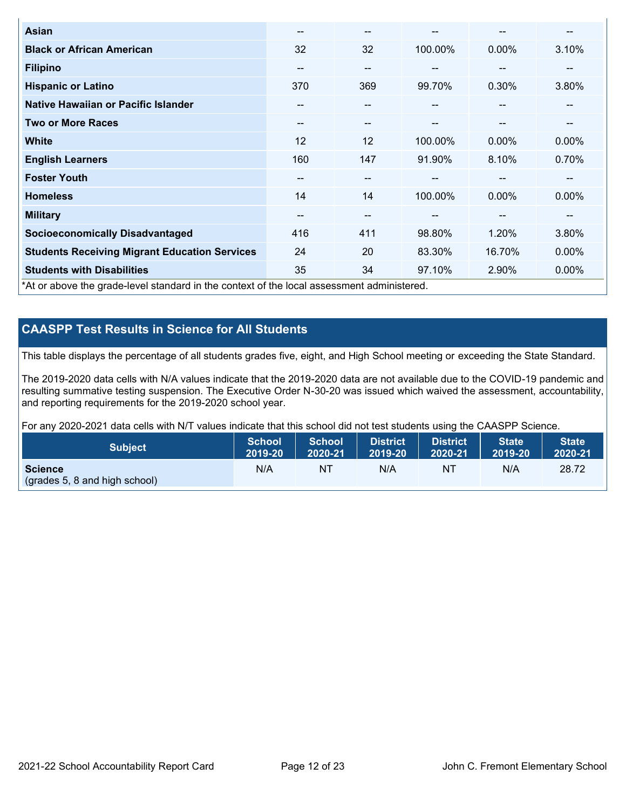| <b>Asian</b>                                                                               | $- -$             | --                       |               | --       | --       |
|--------------------------------------------------------------------------------------------|-------------------|--------------------------|---------------|----------|----------|
| <b>Black or African American</b>                                                           | 32                | 32                       | 100.00%       | $0.00\%$ | 3.10%    |
| <b>Filipino</b>                                                                            | --                | $-$                      | $- -$         | --       | --       |
| <b>Hispanic or Latino</b>                                                                  | 370               | 369                      | 99.70%        | 0.30%    | 3.80%    |
| Native Hawaiian or Pacific Islander                                                        | $\qquad \qquad -$ | $\overline{\phantom{m}}$ | --            | --       | --       |
| <b>Two or More Races</b>                                                                   | $\sim$ $\sim$     | $- -$                    | $\sim$ $\sim$ | --       | --       |
| <b>White</b>                                                                               | 12                | 12                       | 100.00%       | $0.00\%$ | $0.00\%$ |
| <b>English Learners</b>                                                                    | 160               | 147                      | 91.90%        | 8.10%    | 0.70%    |
| <b>Foster Youth</b>                                                                        | --                | --                       |               | --       | --       |
| <b>Homeless</b>                                                                            | 14                | 14                       | 100.00%       | $0.00\%$ | $0.00\%$ |
| <b>Military</b>                                                                            | --                | --                       | --            | --       | --       |
| <b>Socioeconomically Disadvantaged</b>                                                     | 416               | 411                      | 98.80%        | 1.20%    | 3.80%    |
| <b>Students Receiving Migrant Education Services</b>                                       | 24                | 20                       | 83.30%        | 16.70%   | $0.00\%$ |
| <b>Students with Disabilities</b>                                                          | 35                | 34                       | 97.10%        | 2.90%    | 0.00%    |
| *At or above the grade-level standard in the context of the local assessment administered. |                   |                          |               |          |          |

## **CAASPP Test Results in Science for All Students**

This table displays the percentage of all students grades five, eight, and High School meeting or exceeding the State Standard.

The 2019-2020 data cells with N/A values indicate that the 2019-2020 data are not available due to the COVID-19 pandemic and resulting summative testing suspension. The Executive Order N-30-20 was issued which waived the assessment, accountability, and reporting requirements for the 2019-2020 school year.

For any 2020-2021 data cells with N/T values indicate that this school did not test students using the CAASPP Science.

| <b>Subject</b>                | School<br>2019-20 | School<br>2020-21 | <b>District</b><br>2019-20 | <b>District</b><br>2020-21 | State <sup>1</sup><br>2019-20 | <b>State</b><br>2020-21 |
|-------------------------------|-------------------|-------------------|----------------------------|----------------------------|-------------------------------|-------------------------|
| <b>Science</b>                | N/A               | NΤ                | N/A                        | N1                         | N/A                           | 28.72                   |
| (grades 5, 8 and high school) |                   |                   |                            |                            |                               |                         |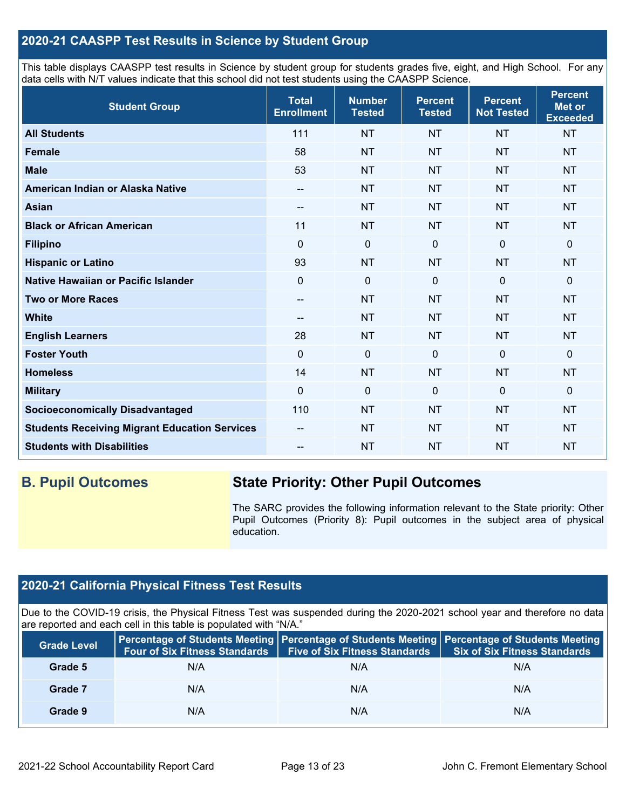## **2020-21 CAASPP Test Results in Science by Student Group**

This table displays CAASPP test results in Science by student group for students grades five, eight, and High School. For any data cells with N/T values indicate that this school did not test students using the CAASPP Science.

| <b>Student Group</b>                                 | <b>Total</b><br><b>Enrollment</b> | <b>Number</b><br><b>Tested</b> | <b>Percent</b><br><b>Tested</b> | <b>Percent</b><br><b>Not Tested</b> | <b>Percent</b><br><b>Met or</b><br><b>Exceeded</b> |
|------------------------------------------------------|-----------------------------------|--------------------------------|---------------------------------|-------------------------------------|----------------------------------------------------|
| <b>All Students</b>                                  | 111                               | <b>NT</b>                      | <b>NT</b>                       | <b>NT</b>                           | <b>NT</b>                                          |
| <b>Female</b>                                        | 58                                | <b>NT</b>                      | <b>NT</b>                       | <b>NT</b>                           | <b>NT</b>                                          |
| <b>Male</b>                                          | 53                                | <b>NT</b>                      | <b>NT</b>                       | <b>NT</b>                           | <b>NT</b>                                          |
| American Indian or Alaska Native                     | --                                | <b>NT</b>                      | <b>NT</b>                       | <b>NT</b>                           | <b>NT</b>                                          |
| <b>Asian</b>                                         | $\qquad \qquad -$                 | <b>NT</b>                      | <b>NT</b>                       | <b>NT</b>                           | <b>NT</b>                                          |
| <b>Black or African American</b>                     | 11                                | <b>NT</b>                      | <b>NT</b>                       | <b>NT</b>                           | <b>NT</b>                                          |
| <b>Filipino</b>                                      | $\Omega$                          | $\pmb{0}$                      | $\mathbf 0$                     | $\mathbf 0$                         | 0                                                  |
| <b>Hispanic or Latino</b>                            | 93                                | <b>NT</b>                      | <b>NT</b>                       | <b>NT</b>                           | <b>NT</b>                                          |
| Native Hawaiian or Pacific Islander                  | $\mathbf 0$                       | $\mathbf 0$                    | $\mathbf{0}$                    | $\overline{0}$                      | 0                                                  |
| <b>Two or More Races</b>                             | $-$                               | <b>NT</b>                      | <b>NT</b>                       | <b>NT</b>                           | <b>NT</b>                                          |
| <b>White</b>                                         | $\qquad \qquad -$                 | <b>NT</b>                      | <b>NT</b>                       | <b>NT</b>                           | <b>NT</b>                                          |
| <b>English Learners</b>                              | 28                                | <b>NT</b>                      | <b>NT</b>                       | <b>NT</b>                           | <b>NT</b>                                          |
| <b>Foster Youth</b>                                  | $\mathbf 0$                       | $\mathbf 0$                    | $\mathbf 0$                     | $\mathbf 0$                         | 0                                                  |
| <b>Homeless</b>                                      | 14                                | <b>NT</b>                      | <b>NT</b>                       | <b>NT</b>                           | <b>NT</b>                                          |
| <b>Military</b>                                      | $\Omega$                          | $\mathbf 0$                    | $\mathbf 0$                     | $\mathbf 0$                         | 0                                                  |
| <b>Socioeconomically Disadvantaged</b>               | 110                               | <b>NT</b>                      | <b>NT</b>                       | <b>NT</b>                           | <b>NT</b>                                          |
| <b>Students Receiving Migrant Education Services</b> | $\qquad \qquad -$                 | <b>NT</b>                      | <b>NT</b>                       | <b>NT</b>                           | <b>NT</b>                                          |
| <b>Students with Disabilities</b>                    | --                                | <b>NT</b>                      | <b>NT</b>                       | <b>NT</b>                           | <b>NT</b>                                          |

## **B. Pupil Outcomes State Priority: Other Pupil Outcomes**

The SARC provides the following information relevant to the State priority: Other Pupil Outcomes (Priority 8): Pupil outcomes in the subject area of physical education.

## **2020-21 California Physical Fitness Test Results**

Due to the COVID-19 crisis, the Physical Fitness Test was suspended during the 2020-2021 school year and therefore no data are reported and each cell in this table is populated with "N/A."

| <b>Grade Level</b> | <b>Four of Six Fitness Standards</b> | <b>Five of Six Fitness Standards</b> | Percentage of Students Meeting   Percentage of Students Meeting   Percentage of Students Meeting<br><b>Six of Six Fitness Standards</b> |
|--------------------|--------------------------------------|--------------------------------------|-----------------------------------------------------------------------------------------------------------------------------------------|
| Grade 5            | N/A                                  | N/A                                  | N/A                                                                                                                                     |
| Grade 7            | N/A                                  | N/A                                  | N/A                                                                                                                                     |
| Grade 9            | N/A                                  | N/A                                  | N/A                                                                                                                                     |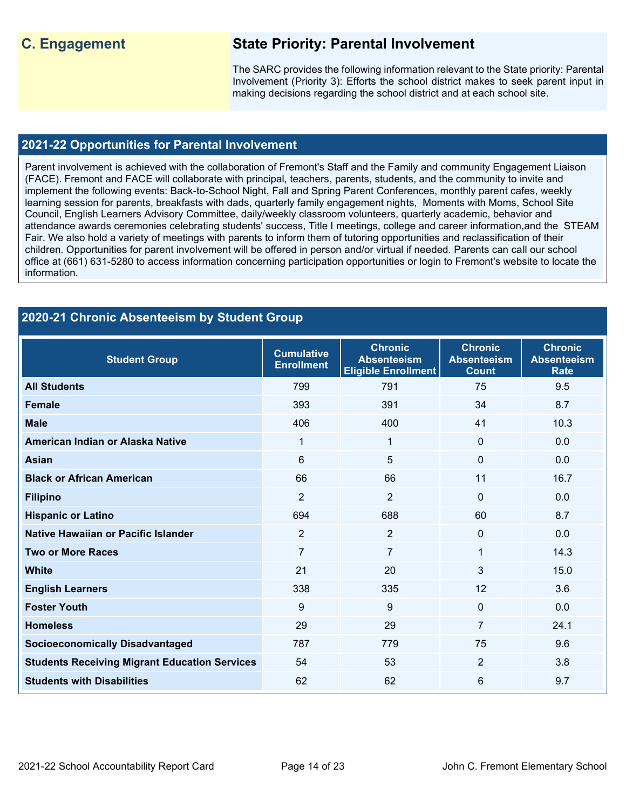## **C. Engagement State Priority: Parental Involvement**

The SARC provides the following information relevant to the State priority: Parental Involvement (Priority 3): Efforts the school district makes to seek parent input in making decisions regarding the school district and at each school site.

### **2021-22 Opportunities for Parental Involvement**

Parent involvement is achieved with the collaboration of Fremont's Staff and the Family and community Engagement Liaison (FACE). Fremont and FACE will collaborate with principal, teachers, parents, students, and the community to invite and implement the following events: Back-to-School Night, Fall and Spring Parent Conferences, monthly parent cafes, weekly learning session for parents, breakfasts with dads, quarterly family engagement nights, Moments with Moms, School Site Council, English Learners Advisory Committee, daily/weekly classroom volunteers, quarterly academic, behavior and attendance awards ceremonies celebrating students' success, Title I meetings, college and career information,and the STEAM Fair. We also hold a variety of meetings with parents to inform them of tutoring opportunities and reclassification of their children. Opportunities for parent involvement will be offered in person and/or virtual if needed. Parents can call our school office at (661) 631-5280 to access information concerning participation opportunities or login to Fremont's website to locate the information.

| 2020-21 Chronic Absenteeism by Student Group         |                                        |                                                                    |                                                      |                                                     |
|------------------------------------------------------|----------------------------------------|--------------------------------------------------------------------|------------------------------------------------------|-----------------------------------------------------|
| <b>Student Group</b>                                 | <b>Cumulative</b><br><b>Enrollment</b> | <b>Chronic</b><br><b>Absenteeism</b><br><b>Eligible Enrollment</b> | <b>Chronic</b><br><b>Absenteeism</b><br><b>Count</b> | <b>Chronic</b><br><b>Absenteeism</b><br><b>Rate</b> |
| <b>All Students</b>                                  | 799                                    | 791                                                                | 75                                                   | 9.5                                                 |
| <b>Female</b>                                        | 393                                    | 391                                                                | 34                                                   | 8.7                                                 |
| <b>Male</b>                                          | 406                                    | 400                                                                | 41                                                   | 10.3                                                |
| American Indian or Alaska Native                     | 1                                      | 1                                                                  | 0                                                    | 0.0                                                 |
| <b>Asian</b>                                         | $6\phantom{1}$                         | 5                                                                  | $\mathbf{0}$                                         | 0.0                                                 |
| <b>Black or African American</b>                     | 66                                     | 66                                                                 | 11                                                   | 16.7                                                |
| <b>Filipino</b>                                      | $\overline{2}$                         | $\overline{2}$                                                     | 0                                                    | 0.0                                                 |
| <b>Hispanic or Latino</b>                            | 694                                    | 688                                                                | 60                                                   | 8.7                                                 |
| Native Hawaiian or Pacific Islander                  | $\overline{2}$                         | $\overline{2}$                                                     | $\mathbf 0$                                          | 0.0                                                 |
| <b>Two or More Races</b>                             | $\overline{7}$                         | $\overline{7}$                                                     | 1                                                    | 14.3                                                |
| <b>White</b>                                         | 21                                     | 20                                                                 | 3                                                    | 15.0                                                |
| <b>English Learners</b>                              | 338                                    | 335                                                                | 12                                                   | 3.6                                                 |
| <b>Foster Youth</b>                                  | 9                                      | 9                                                                  | $\mathbf 0$                                          | 0.0                                                 |
| <b>Homeless</b>                                      | 29                                     | 29                                                                 | $\overline{7}$                                       | 24.1                                                |
| <b>Socioeconomically Disadvantaged</b>               | 787                                    | 779                                                                | 75                                                   | 9.6                                                 |
| <b>Students Receiving Migrant Education Services</b> | 54                                     | 53                                                                 | $\overline{2}$                                       | 3.8                                                 |
| <b>Students with Disabilities</b>                    | 62                                     | 62                                                                 | 6                                                    | 9.7                                                 |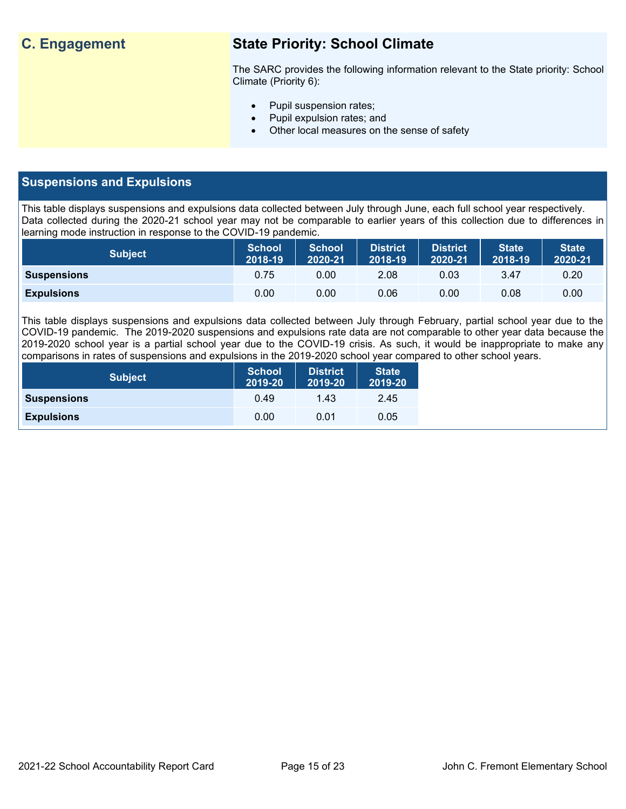## **C. Engagement State Priority: School Climate**

The SARC provides the following information relevant to the State priority: School Climate (Priority 6):

- Pupil suspension rates;
- Pupil expulsion rates; and
- Other local measures on the sense of safety

## **Suspensions and Expulsions**

This table displays suspensions and expulsions data collected between July through June, each full school year respectively. Data collected during the 2020-21 school year may not be comparable to earlier years of this collection due to differences in learning mode instruction in response to the COVID-19 pandemic.

| <b>Subject</b>     | <b>School</b><br>2018-19 | <b>School</b><br>2020-21 | <b>District</b><br>2018-19 | <b>District</b><br>2020-21 | <b>State</b><br>2018-19 | <b>State</b><br>2020-21 |
|--------------------|--------------------------|--------------------------|----------------------------|----------------------------|-------------------------|-------------------------|
| <b>Suspensions</b> | 0.75                     | 0.00                     | 2.08                       | 0.03                       | 3.47                    | 0.20                    |
| <b>Expulsions</b>  | 0.00                     | 0.00                     | 0.06                       | 0.00                       | 0.08                    | 0.00                    |

This table displays suspensions and expulsions data collected between July through February, partial school year due to the COVID-19 pandemic. The 2019-2020 suspensions and expulsions rate data are not comparable to other year data because the 2019-2020 school year is a partial school year due to the COVID-19 crisis. As such, it would be inappropriate to make any comparisons in rates of suspensions and expulsions in the 2019-2020 school year compared to other school years.

| <b>Subject</b>     | School<br>2019-20 | <b>District</b><br>2019-20 | <b>State</b><br>2019-20 |
|--------------------|-------------------|----------------------------|-------------------------|
| <b>Suspensions</b> | 0.49              | 1.43                       | 2.45                    |
| <b>Expulsions</b>  | 0.00              | 0.01                       | 0.05                    |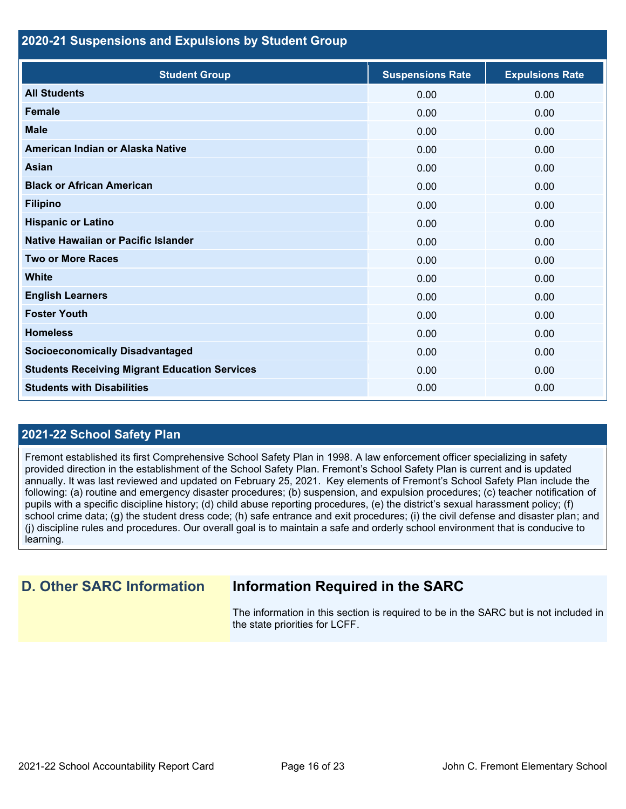#### **2020-21 Suspensions and Expulsions by Student Group**

| <b>Student Group</b>                                 | <b>Suspensions Rate</b> | <b>Expulsions Rate</b> |
|------------------------------------------------------|-------------------------|------------------------|
| <b>All Students</b>                                  | 0.00                    | 0.00                   |
| <b>Female</b>                                        | 0.00                    | 0.00                   |
| <b>Male</b>                                          | 0.00                    | 0.00                   |
| American Indian or Alaska Native                     | 0.00                    | 0.00                   |
| <b>Asian</b>                                         | 0.00                    | 0.00                   |
| <b>Black or African American</b>                     | 0.00                    | 0.00                   |
| <b>Filipino</b>                                      | 0.00                    | 0.00                   |
| <b>Hispanic or Latino</b>                            | 0.00                    | 0.00                   |
| Native Hawaiian or Pacific Islander                  | 0.00                    | 0.00                   |
| <b>Two or More Races</b>                             | 0.00                    | 0.00                   |
| <b>White</b>                                         | 0.00                    | 0.00                   |
| <b>English Learners</b>                              | 0.00                    | 0.00                   |
| <b>Foster Youth</b>                                  | 0.00                    | 0.00                   |
| <b>Homeless</b>                                      | 0.00                    | 0.00                   |
| <b>Socioeconomically Disadvantaged</b>               | 0.00                    | 0.00                   |
| <b>Students Receiving Migrant Education Services</b> | 0.00                    | 0.00                   |
| <b>Students with Disabilities</b>                    | 0.00                    | 0.00                   |

## **2021-22 School Safety Plan**

Fremont established its first Comprehensive School Safety Plan in 1998. A law enforcement officer specializing in safety provided direction in the establishment of the School Safety Plan. Fremont's School Safety Plan is current and is updated annually. It was last reviewed and updated on February 25, 2021. Key elements of Fremont's School Safety Plan include the following: (a) routine and emergency disaster procedures; (b) suspension, and expulsion procedures; (c) teacher notification of pupils with a specific discipline history; (d) child abuse reporting procedures, (e) the district's sexual harassment policy; (f) school crime data; (g) the student dress code; (h) safe entrance and exit procedures; (i) the civil defense and disaster plan; and (j) discipline rules and procedures. Our overall goal is to maintain a safe and orderly school environment that is conducive to learning.

## **D. Other SARC Information Information Required in the SARC**

The information in this section is required to be in the SARC but is not included in the state priorities for LCFF.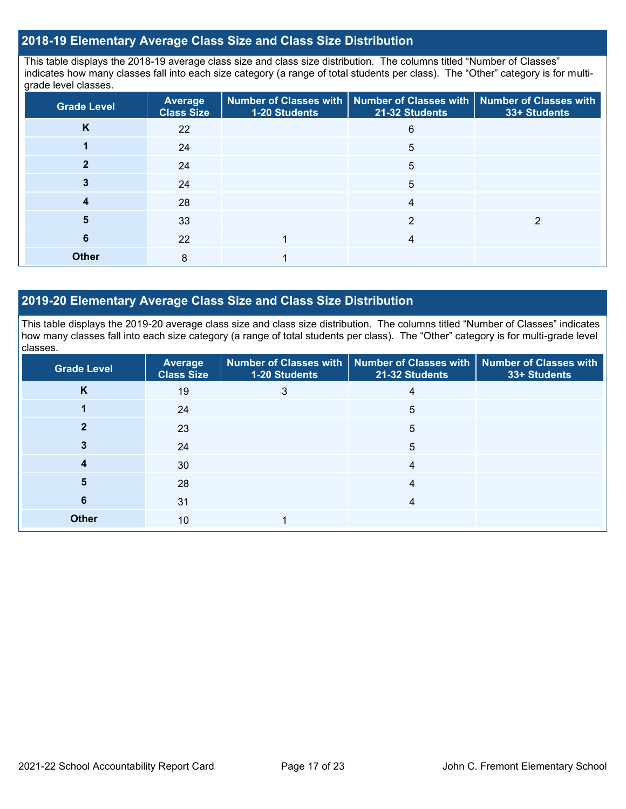## **2018-19 Elementary Average Class Size and Class Size Distribution**

This table displays the 2018-19 average class size and class size distribution. The columns titled "Number of Classes" indicates how many classes fall into each size category (a range of total students per class). The "Other" category is for multigrade level classes.

| <b>Grade Level</b> | <b>Average</b><br><b>Class Size</b> | 1-20 Students | Number of Classes with   Number of Classes with   Number of Classes with<br>21-32 Students | 33+ Students |
|--------------------|-------------------------------------|---------------|--------------------------------------------------------------------------------------------|--------------|
| K                  | 22                                  |               | 6                                                                                          |              |
|                    | 24                                  |               | 5                                                                                          |              |
|                    | 24                                  |               | 5                                                                                          |              |
|                    | 24                                  |               | 5                                                                                          |              |
|                    | 28                                  |               | 4                                                                                          |              |
| 5                  | 33                                  |               | 2                                                                                          |              |
| 6                  | 22                                  |               | 4                                                                                          |              |
| <b>Other</b>       | 8                                   |               |                                                                                            |              |

## **2019-20 Elementary Average Class Size and Class Size Distribution**

This table displays the 2019-20 average class size and class size distribution. The columns titled "Number of Classes" indicates how many classes fall into each size category (a range of total students per class). The "Other" category is for multi-grade level classes.

| <b>Grade Level</b> | Average<br><b>Class Size</b> | 1-20 Students | Number of Classes with   Number of Classes with   Number of Classes with<br>21-32 Students | 33+ Students |
|--------------------|------------------------------|---------------|--------------------------------------------------------------------------------------------|--------------|
| K                  | 19                           | 3             | 4                                                                                          |              |
|                    | 24                           |               | 5                                                                                          |              |
|                    | 23                           |               | 5                                                                                          |              |
|                    | 24                           |               | 5                                                                                          |              |
|                    | 30                           |               | 4                                                                                          |              |
| 5                  | 28                           |               | 4                                                                                          |              |
| 6                  | 31                           |               | 4                                                                                          |              |
| <b>Other</b>       | 10                           |               |                                                                                            |              |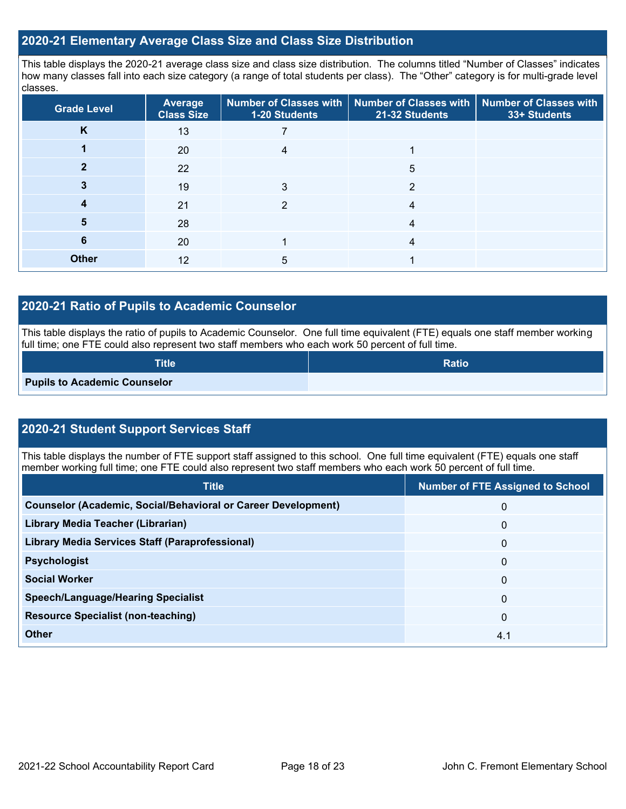### **2020-21 Elementary Average Class Size and Class Size Distribution**

This table displays the 2020-21 average class size and class size distribution. The columns titled "Number of Classes" indicates how many classes fall into each size category (a range of total students per class). The "Other" category is for multi-grade level classes.

| <b>Grade Level</b> | <b>Average</b><br><b>Class Size</b> | 1-20 Students | Number of Classes with   Number of Classes with   Number of Classes with<br>21-32 Students | 33+ Students |
|--------------------|-------------------------------------|---------------|--------------------------------------------------------------------------------------------|--------------|
| K                  | 13                                  |               |                                                                                            |              |
|                    | 20                                  |               |                                                                                            |              |
|                    | 22                                  |               | 5                                                                                          |              |
|                    | 19                                  | 3             | 2                                                                                          |              |
| 4                  | 21                                  | 2             | 4                                                                                          |              |
| 5                  | 28                                  |               | 4                                                                                          |              |
| 6                  | 20                                  |               | 4                                                                                          |              |
| <b>Other</b>       | 12                                  | 5             |                                                                                            |              |

## **2020-21 Ratio of Pupils to Academic Counselor**

This table displays the ratio of pupils to Academic Counselor. One full time equivalent (FTE) equals one staff member working full time; one FTE could also represent two staff members who each work 50 percent of full time.

| <b>Title</b>                        | <b>Ratio</b> |
|-------------------------------------|--------------|
| <b>Pupils to Academic Counselor</b> |              |

## **2020-21 Student Support Services Staff**

This table displays the number of FTE support staff assigned to this school. One full time equivalent (FTE) equals one staff member working full time; one FTE could also represent two staff members who each work 50 percent of full time.

| <b>Title</b>                                                         | <b>Number of FTE Assigned to School</b> |
|----------------------------------------------------------------------|-----------------------------------------|
| <b>Counselor (Academic, Social/Behavioral or Career Development)</b> | $\mathbf{0}$                            |
| Library Media Teacher (Librarian)                                    | $\mathbf{0}$                            |
| <b>Library Media Services Staff (Paraprofessional)</b>               | $\mathbf{0}$                            |
| <b>Psychologist</b>                                                  | $\mathbf{0}$                            |
| <b>Social Worker</b>                                                 | $\mathbf{0}$                            |
| <b>Speech/Language/Hearing Specialist</b>                            | $\mathbf{0}$                            |
| <b>Resource Specialist (non-teaching)</b>                            | $\Omega$                                |
| <b>Other</b>                                                         | 4.1                                     |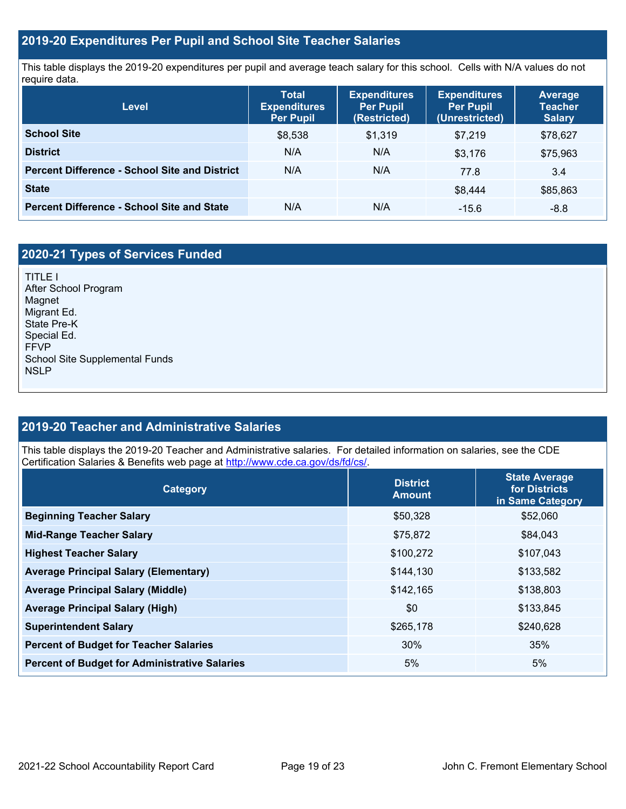## **2019-20 Expenditures Per Pupil and School Site Teacher Salaries**

This table displays the 2019-20 expenditures per pupil and average teach salary for this school. Cells with N/A values do not require data.

| Level                                                | <b>Total</b><br><b>Expenditures</b><br><b>Per Pupil</b> | <b>Expenditures</b><br><b>Per Pupil</b><br>(Restricted) | <b>Expenditures</b><br><b>Per Pupil</b><br>(Unrestricted) | <b>Average</b><br><b>Teacher</b><br><b>Salary</b> |
|------------------------------------------------------|---------------------------------------------------------|---------------------------------------------------------|-----------------------------------------------------------|---------------------------------------------------|
| <b>School Site</b>                                   | \$8,538                                                 | \$1,319                                                 | \$7.219                                                   | \$78,627                                          |
| <b>District</b>                                      | N/A                                                     | N/A                                                     | \$3,176                                                   | \$75,963                                          |
| <b>Percent Difference - School Site and District</b> | N/A                                                     | N/A                                                     | 77.8                                                      | 3.4                                               |
| <b>State</b>                                         |                                                         |                                                         | \$8.444                                                   | \$85,863                                          |
| <b>Percent Difference - School Site and State</b>    | N/A                                                     | N/A                                                     | $-15.6$                                                   | $-8.8$                                            |

## **2020-21 Types of Services Funded**

TITLE I After School Program Magnet Migrant Ed. State Pre-K Special Ed. FFVP School Site Supplemental Funds NSLP

## **2019-20 Teacher and Administrative Salaries**

This table displays the 2019-20 Teacher and Administrative salaries. For detailed information on salaries, see the CDE Certification Salaries & Benefits web page at [http://www.cde.ca.gov/ds/fd/cs/.](http://www.cde.ca.gov/ds/fd/cs/)

| Category                                             | <b>District</b><br><b>Amount</b> | <b>State Average</b><br>for Districts<br>in Same Category |
|------------------------------------------------------|----------------------------------|-----------------------------------------------------------|
| <b>Beginning Teacher Salary</b>                      | \$50,328                         | \$52,060                                                  |
| <b>Mid-Range Teacher Salary</b>                      | \$75,872                         | \$84,043                                                  |
| <b>Highest Teacher Salary</b>                        | \$100,272                        | \$107,043                                                 |
| <b>Average Principal Salary (Elementary)</b>         | \$144,130                        | \$133,582                                                 |
| <b>Average Principal Salary (Middle)</b>             | \$142,165                        | \$138,803                                                 |
| <b>Average Principal Salary (High)</b>               | \$0                              | \$133,845                                                 |
| <b>Superintendent Salary</b>                         | \$265,178                        | \$240,628                                                 |
| <b>Percent of Budget for Teacher Salaries</b>        | 30%                              | 35%                                                       |
| <b>Percent of Budget for Administrative Salaries</b> | 5%                               | 5%                                                        |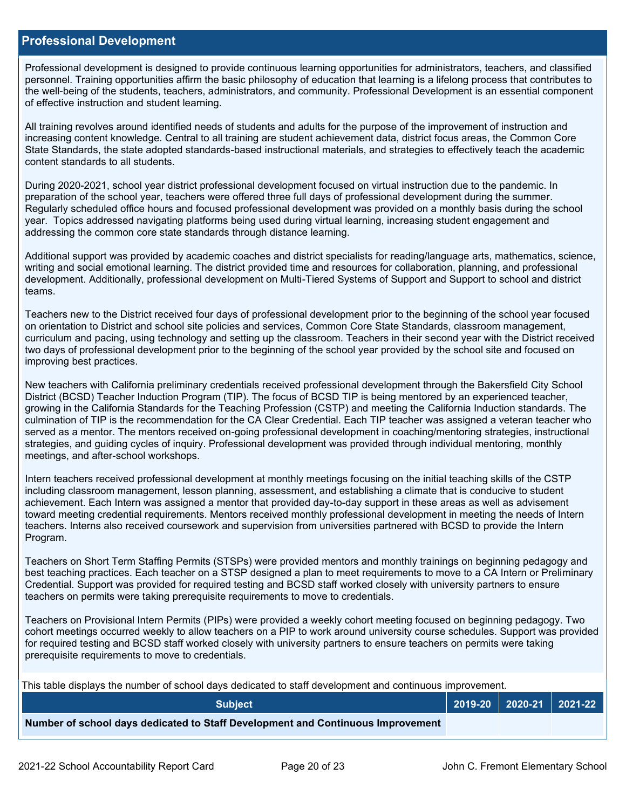#### **Professional Development**

Professional development is designed to provide continuous learning opportunities for administrators, teachers, and classified personnel. Training opportunities affirm the basic philosophy of education that learning is a lifelong process that contributes to the well-being of the students, teachers, administrators, and community. Professional Development is an essential component of effective instruction and student learning.

All training revolves around identified needs of students and adults for the purpose of the improvement of instruction and increasing content knowledge. Central to all training are student achievement data, district focus areas, the Common Core State Standards, the state adopted standards-based instructional materials, and strategies to effectively teach the academic content standards to all students.

During 2020-2021, school year district professional development focused on virtual instruction due to the pandemic. In preparation of the school year, teachers were offered three full days of professional development during the summer. Regularly scheduled office hours and focused professional development was provided on a monthly basis during the school year. Topics addressed navigating platforms being used during virtual learning, increasing student engagement and addressing the common core state standards through distance learning.

Additional support was provided by academic coaches and district specialists for reading/language arts, mathematics, science, writing and social emotional learning. The district provided time and resources for collaboration, planning, and professional development. Additionally, professional development on Multi-Tiered Systems of Support and Support to school and district teams.

Teachers new to the District received four days of professional development prior to the beginning of the school year focused on orientation to District and school site policies and services, Common Core State Standards, classroom management, curriculum and pacing, using technology and setting up the classroom. Teachers in their second year with the District received two days of professional development prior to the beginning of the school year provided by the school site and focused on improving best practices.

New teachers with California preliminary credentials received professional development through the Bakersfield City School District (BCSD) Teacher Induction Program (TIP). The focus of BCSD TIP is being mentored by an experienced teacher, growing in the California Standards for the Teaching Profession (CSTP) and meeting the California Induction standards. The culmination of TIP is the recommendation for the CA Clear Credential. Each TIP teacher was assigned a veteran teacher who served as a mentor. The mentors received on-going professional development in coaching/mentoring strategies, instructional strategies, and guiding cycles of inquiry. Professional development was provided through individual mentoring, monthly meetings, and after-school workshops.

Intern teachers received professional development at monthly meetings focusing on the initial teaching skills of the CSTP including classroom management, lesson planning, assessment, and establishing a climate that is conducive to student achievement. Each Intern was assigned a mentor that provided day-to-day support in these areas as well as advisement toward meeting credential requirements. Mentors received monthly professional development in meeting the needs of Intern teachers. Interns also received coursework and supervision from universities partnered with BCSD to provide the Intern Program.

Teachers on Short Term Staffing Permits (STSPs) were provided mentors and monthly trainings on beginning pedagogy and best teaching practices. Each teacher on a STSP designed a plan to meet requirements to move to a CA Intern or Preliminary Credential. Support was provided for required testing and BCSD staff worked closely with university partners to ensure teachers on permits were taking prerequisite requirements to move to credentials.

Teachers on Provisional Intern Permits (PIPs) were provided a weekly cohort meeting focused on beginning pedagogy. Two cohort meetings occurred weekly to allow teachers on a PIP to work around university course schedules. Support was provided for required testing and BCSD staff worked closely with university partners to ensure teachers on permits were taking prerequisite requirements to move to credentials.

This table displays the number of school days dedicated to staff development and continuous improvement.

| <b>Subject</b>                                                                  |  | 2019-20   2020-21   2021-22 |
|---------------------------------------------------------------------------------|--|-----------------------------|
| Number of school days dedicated to Staff Development and Continuous Improvement |  |                             |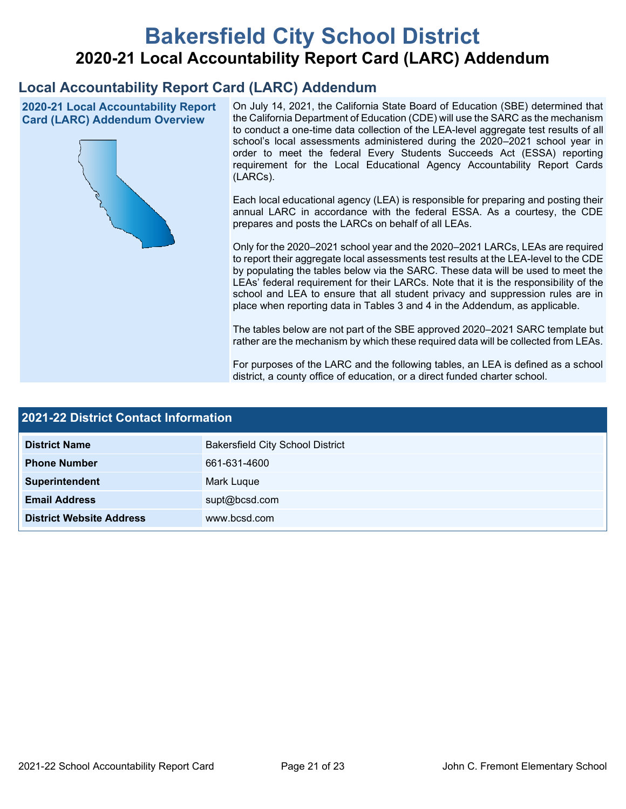# **Bakersfield City School District 2020-21 Local Accountability Report Card (LARC) Addendum**

## **Local Accountability Report Card (LARC) Addendum**

**2020-21 Local Accountability Report Card (LARC) Addendum Overview**



On July 14, 2021, the California State Board of Education (SBE) determined that the California Department of Education (CDE) will use the SARC as the mechanism to conduct a one-time data collection of the LEA-level aggregate test results of all school's local assessments administered during the 2020–2021 school year in order to meet the federal Every Students Succeeds Act (ESSA) reporting requirement for the Local Educational Agency Accountability Report Cards (LARCs).

Each local educational agency (LEA) is responsible for preparing and posting their annual LARC in accordance with the federal ESSA. As a courtesy, the CDE prepares and posts the LARCs on behalf of all LEAs.

Only for the 2020–2021 school year and the 2020–2021 LARCs, LEAs are required to report their aggregate local assessments test results at the LEA-level to the CDE by populating the tables below via the SARC. These data will be used to meet the LEAs' federal requirement for their LARCs. Note that it is the responsibility of the school and LEA to ensure that all student privacy and suppression rules are in place when reporting data in Tables 3 and 4 in the Addendum, as applicable.

The tables below are not part of the SBE approved 2020–2021 SARC template but rather are the mechanism by which these required data will be collected from LEAs.

For purposes of the LARC and the following tables, an LEA is defined as a school district, a county office of education, or a direct funded charter school.

| <b>2021-22 District Contact Information</b> |                                         |  |  |  |
|---------------------------------------------|-----------------------------------------|--|--|--|
| <b>District Name</b>                        | <b>Bakersfield City School District</b> |  |  |  |
| <b>Phone Number</b>                         | 661-631-4600                            |  |  |  |
| Superintendent                              | Mark Luque                              |  |  |  |
| <b>Email Address</b>                        | supt@bcsd.com                           |  |  |  |
| <b>District Website Address</b>             | www.bcsd.com                            |  |  |  |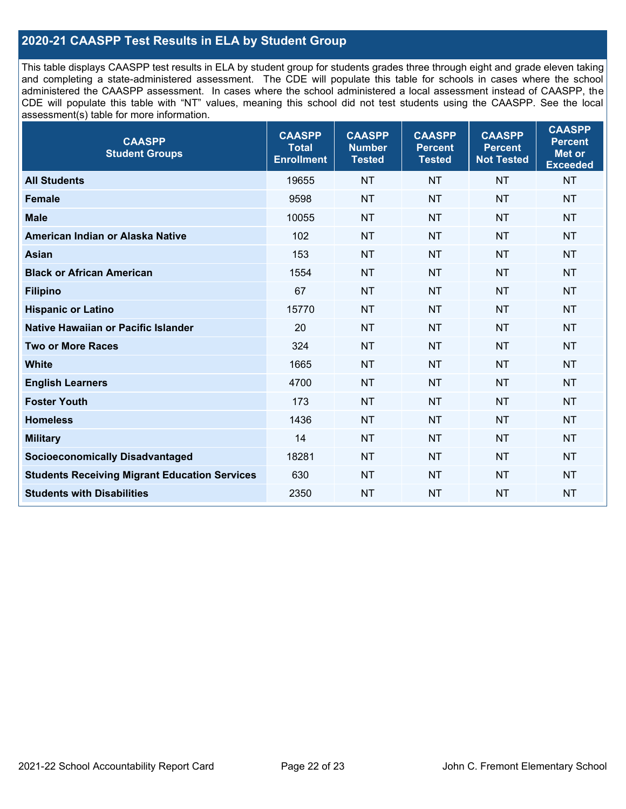## **2020-21 CAASPP Test Results in ELA by Student Group**

This table displays CAASPP test results in ELA by student group for students grades three through eight and grade eleven taking and completing a state-administered assessment. The CDE will populate this table for schools in cases where the school administered the CAASPP assessment. In cases where the school administered a local assessment instead of CAASPP, the CDE will populate this table with "NT" values, meaning this school did not test students using the CAASPP. See the local assessment(s) table for more information.

| <b>CAASPP</b><br><b>Student Groups</b>               | <b>CAASPP</b><br><b>Total</b><br><b>Enrollment</b> | <b>CAASPP</b><br><b>Number</b><br><b>Tested</b> | <b>CAASPP</b><br><b>Percent</b><br><b>Tested</b> | <b>CAASPP</b><br><b>Percent</b><br><b>Not Tested</b> | <b>CAASPP</b><br><b>Percent</b><br>Met or<br><b>Exceeded</b> |
|------------------------------------------------------|----------------------------------------------------|-------------------------------------------------|--------------------------------------------------|------------------------------------------------------|--------------------------------------------------------------|
| <b>All Students</b>                                  | 19655                                              | <b>NT</b>                                       | <b>NT</b>                                        | <b>NT</b>                                            | <b>NT</b>                                                    |
| <b>Female</b>                                        | 9598                                               | <b>NT</b>                                       | <b>NT</b>                                        | <b>NT</b>                                            | <b>NT</b>                                                    |
| <b>Male</b>                                          | 10055                                              | <b>NT</b>                                       | <b>NT</b>                                        | <b>NT</b>                                            | <b>NT</b>                                                    |
| American Indian or Alaska Native                     | 102                                                | <b>NT</b>                                       | <b>NT</b>                                        | <b>NT</b>                                            | <b>NT</b>                                                    |
| <b>Asian</b>                                         | 153                                                | <b>NT</b>                                       | <b>NT</b>                                        | <b>NT</b>                                            | <b>NT</b>                                                    |
| <b>Black or African American</b>                     | 1554                                               | <b>NT</b>                                       | <b>NT</b>                                        | <b>NT</b>                                            | NT                                                           |
| <b>Filipino</b>                                      | 67                                                 | <b>NT</b>                                       | <b>NT</b>                                        | <b>NT</b>                                            | <b>NT</b>                                                    |
| <b>Hispanic or Latino</b>                            | 15770                                              | <b>NT</b>                                       | <b>NT</b>                                        | <b>NT</b>                                            | <b>NT</b>                                                    |
| Native Hawaiian or Pacific Islander                  | 20                                                 | <b>NT</b>                                       | <b>NT</b>                                        | <b>NT</b>                                            | <b>NT</b>                                                    |
| <b>Two or More Races</b>                             | 324                                                | <b>NT</b>                                       | <b>NT</b>                                        | <b>NT</b>                                            | <b>NT</b>                                                    |
| <b>White</b>                                         | 1665                                               | <b>NT</b>                                       | <b>NT</b>                                        | <b>NT</b>                                            | <b>NT</b>                                                    |
| <b>English Learners</b>                              | 4700                                               | <b>NT</b>                                       | <b>NT</b>                                        | <b>NT</b>                                            | <b>NT</b>                                                    |
| <b>Foster Youth</b>                                  | 173                                                | <b>NT</b>                                       | <b>NT</b>                                        | <b>NT</b>                                            | <b>NT</b>                                                    |
| <b>Homeless</b>                                      | 1436                                               | <b>NT</b>                                       | <b>NT</b>                                        | <b>NT</b>                                            | <b>NT</b>                                                    |
| <b>Military</b>                                      | 14                                                 | <b>NT</b>                                       | <b>NT</b>                                        | <b>NT</b>                                            | <b>NT</b>                                                    |
| <b>Socioeconomically Disadvantaged</b>               | 18281                                              | <b>NT</b>                                       | <b>NT</b>                                        | <b>NT</b>                                            | <b>NT</b>                                                    |
| <b>Students Receiving Migrant Education Services</b> | 630                                                | <b>NT</b>                                       | <b>NT</b>                                        | <b>NT</b>                                            | NT                                                           |
| <b>Students with Disabilities</b>                    | 2350                                               | <b>NT</b>                                       | <b>NT</b>                                        | <b>NT</b>                                            | NT                                                           |